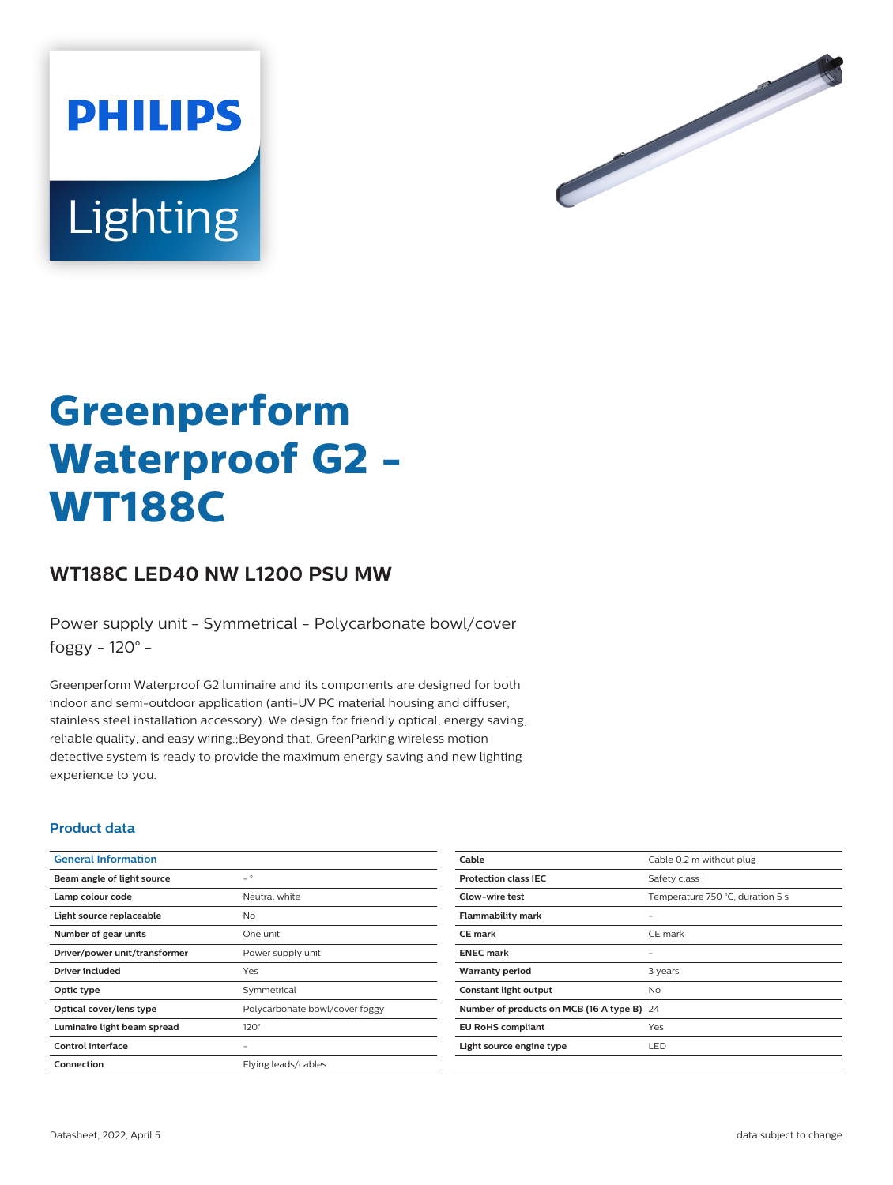



# **Greenperform Waterproof G2 - WT188C**

# **WT188C LED40 NW L1200 PSU MW**

Power supply unit - Symmetrical - Polycarbonate bowl/cover foggy - 120° -

Greenperform Waterproof G2 luminaire and its components are designed for both indoor and semi-outdoor application (anti-UV PC material housing and diffuser, stainless steel installation accessory). We design for friendly optical, energy saving, reliable quality, and easy wiring.;Beyond that, GreenParking wireless motion detective system is ready to provide the maximum energy saving and new lighting experience to you.

#### **Product data**

| <b>General Information</b>    |                                |
|-------------------------------|--------------------------------|
| Beam angle of light source    | $\overline{\phantom{0}}$       |
| Lamp colour code              | Neutral white                  |
| Light source replaceable      | N <sub>o</sub>                 |
| Number of gear units          | One unit                       |
| Driver/power unit/transformer | Power supply unit              |
| Driver included               | Yes                            |
| Optic type                    | Symmetrical                    |
| Optical cover/lens type       | Polycarbonate bowl/cover foggy |
| Luminaire light beam spread   | $120^\circ$                    |
| Control interface             |                                |
| Connection                    | Flying leads/cables            |

| Cable                                      | Cable 0.2 m without plug         |
|--------------------------------------------|----------------------------------|
| <b>Protection class IEC</b>                | Safety class I                   |
| <b>Glow-wire test</b>                      | Temperature 750 °C, duration 5 s |
| <b>Flammability mark</b>                   |                                  |
| <b>CE</b> mark                             | CE mark                          |
| <b>ENEC mark</b>                           |                                  |
| <b>Warranty period</b>                     | 3 years                          |
| Constant light output                      | No.                              |
| Number of products on MCB (16 A type B) 24 |                                  |
| <b>EU RoHS compliant</b>                   | Yes                              |
| Light source engine type                   | LED                              |
|                                            |                                  |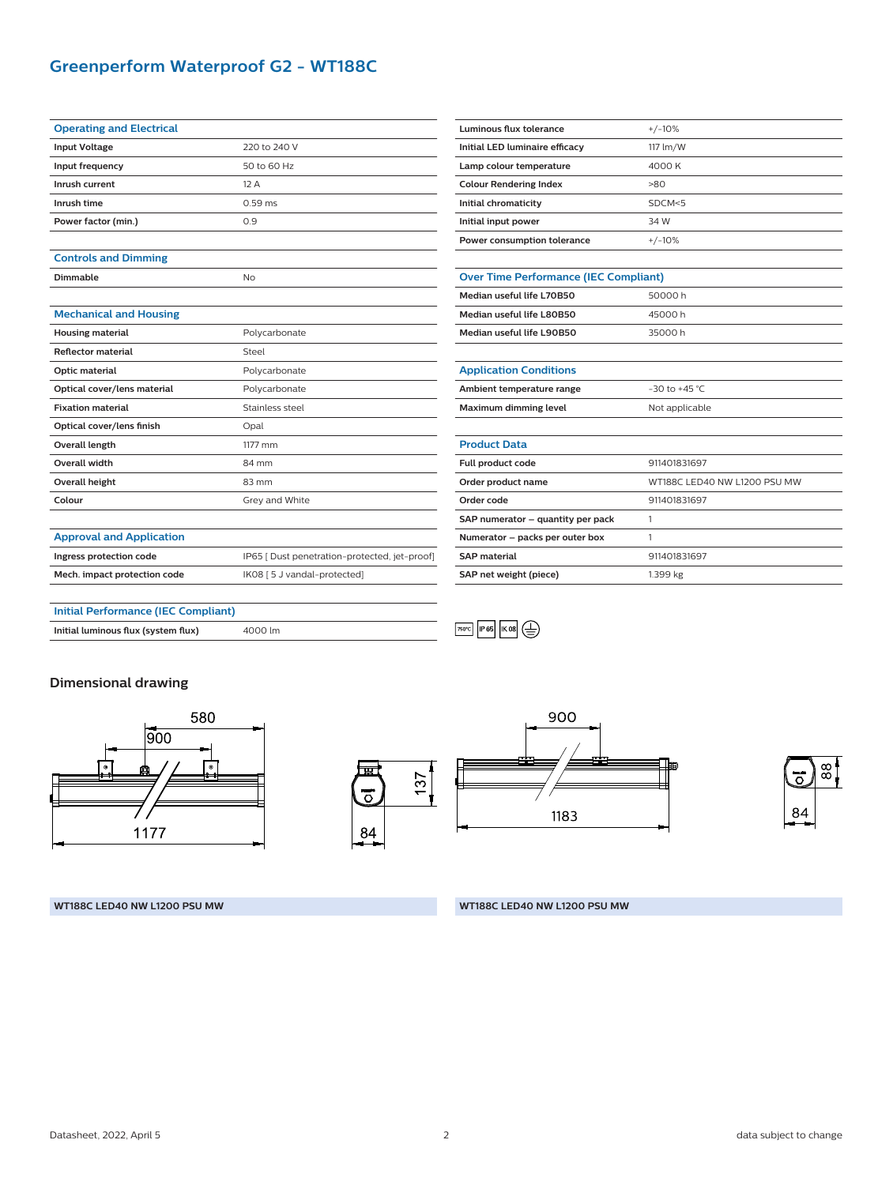# **Greenperform Waterproof G2 - WT188C**

| <b>Operating and Electrical</b> |              |
|---------------------------------|--------------|
| <b>Input Voltage</b>            | 220 to 240 V |
| Input frequency                 | 50 to 60 Hz  |
| Inrush current                  | 12A          |
| Inrush time                     | $0.59$ ms    |
| Power factor (min.)             | 0.9          |
|                                 |              |

## **Controls and Dimming**

**Dimmable** No

#### **Mechanical and Housing**

| <b>Housing material</b>     | Polycarbonate   |
|-----------------------------|-----------------|
| <b>Reflector material</b>   | Steel           |
| Optic material              | Polycarbonate   |
| Optical cover/lens material | Polycarbonate   |
| <b>Fixation material</b>    | Stainless steel |
| Optical cover/lens finish   | Opal            |
| Overall length              | 1177 mm         |
| <b>Overall width</b>        | 84 mm           |
| Overall height              | $83 \text{ mm}$ |
| Colour                      | Grey and White  |
|                             |                 |

**Ingress protection code IP65** [ Dust penetration-protected, jet-proof]

**Mech. impact protection code** IK08 [5 J vandal-protected]

| Luminous flux tolerance                      | $+/-10%$                     |  |
|----------------------------------------------|------------------------------|--|
| Initial LED luminaire efficacy               | 117 lm/W                     |  |
| Lamp colour temperature                      | 4000 K                       |  |
| <b>Colour Rendering Index</b>                | $-80$                        |  |
| Initial chromaticity                         | SDCM < 5                     |  |
| Initial input power                          | 34 W                         |  |
| Power consumption tolerance                  | $+/-10%$                     |  |
|                                              |                              |  |
| <b>Over Time Performance (IEC Compliant)</b> |                              |  |
| Median useful life L70B50                    | 50000 h                      |  |
| Median useful life L80B50                    | 45000h                       |  |
| Median useful life L90B50                    | 35000 h                      |  |
|                                              |                              |  |
| <b>Application Conditions</b>                |                              |  |
| Ambient temperature range                    | $-30$ to $+45$ °C            |  |
| Maximum dimming level                        | Not applicable               |  |
|                                              |                              |  |
| <b>Product Data</b>                          |                              |  |
| Full product code                            | 911401831697                 |  |
| Order product name                           | WT188C LED40 NW L1200 PSU MW |  |
| Order code                                   | 911401831697                 |  |
| SAP numerator - quantity per pack            | 1                            |  |
| Numerator - packs per outer box              | 1                            |  |
| <b>SAP material</b>                          | 911401831697                 |  |
| SAP net weight (piece)                       | 1.399 kg                     |  |

## **Initial Performance (IEC Compliant)**

**Initial luminous flux (system flux)** 4000 lm

両

 $\overline{O}$ 

84

## **Dimensional drawing**

**Approval and Application**









#### **WT188C LED40 NW L1200 PSU MW WT188C LED40 NW L1200 PSU MW**